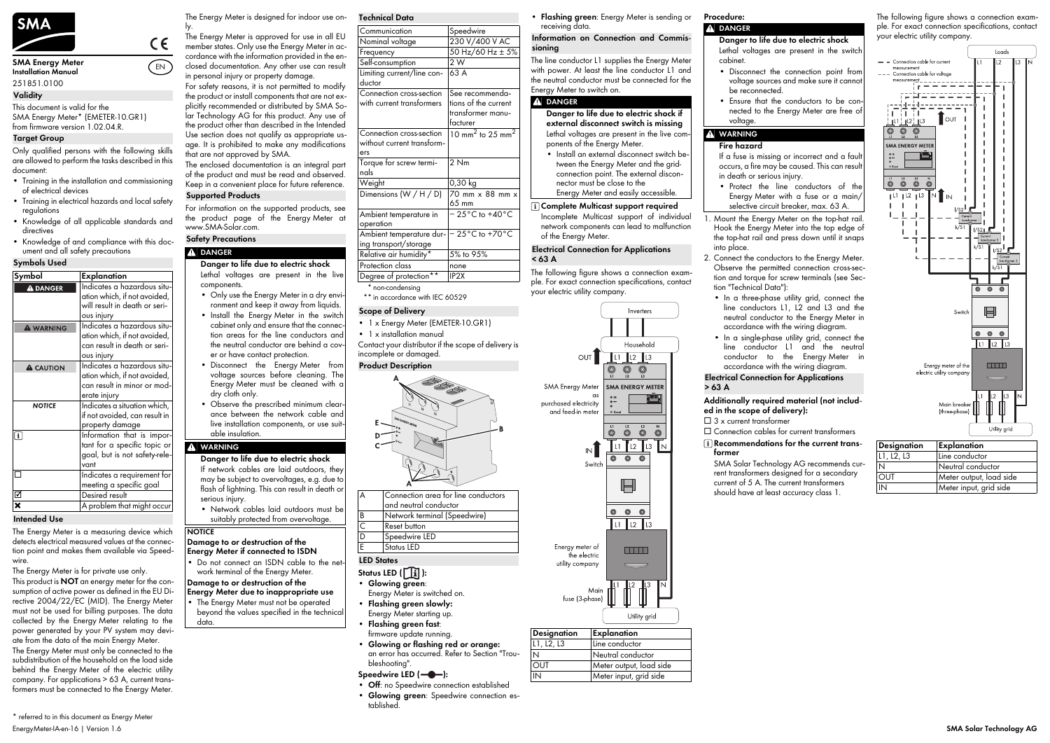

#### **Installation Manual** 251851.0100

This document is valid for the SMA Energy Meter\* (EMETER-10.GR1) from firmware version 1.02.04.R.

Only qualified persons with the following skills are allowed to perform the tasks described in this document:

- Training in the installation and commissioning of electrical devices
- Training in electrical hazards and local safety regulations
- Knowledge of all applicable standards and directives • Knowledge of and compliance with this doc-
- ument and all safety precautions

The Energy Meter is a measuring device which detects electrical measured values at the connection point and makes them available via Speedwire.

The Energy Meter is for private use only.

This product is **NOT** an energy meter for the consumption of active power as defined in the EU Directive 2004/22/EC (MID). The Energy Meter must not be used for billing purposes. The data collected by the Energy Meter relating to the power generated by your PV system may deviate from the data of the main Energy Meter.

The Energy Meter must only be connected to the subdistribution of the household on the load side behind the Energy Meter of the electric utility company. For applications > 63 A, current transformers must be connected to the Energy Meter.

- **Status LED (** $\boxed{1}$ ):
- **Glowing green**: Energy Meter is switched on.
- **Flashing green slowly:**
- Energy Meter starting up. • **Flashing green fast**:
- **Glowing or flashing red or orange:**

- The Energy Meter must not be operated beyond the values specified in the technical
	-
- 
- **Energy Meter due to inappropriate use**
- data.
	- firmware update running.
		- an error has occurred. Refer to Section "Troubleshooting".

## Speedwire LED (-<sup>0</sup>-):

The Energy Meter is designed for indoor use on-

ly. The Energy Meter is approved for use in all EU member states. Only use the Energy Meter in accordance with the information provided in the enclosed documentation. Any other use can result in personal injury or property damage. For safety reasons, it is not permitted to modify

the product or install components that are not explicitly recommended or distributed by SMA Solar Technology AG for this product. Any use of the product other than described in the Intended Use section does not qualify as appropriate usage. It is prohibited to make any modifications that are not approved by SMA.

> $\Box$  3 x current transformer ☐ Connection cables for current transformers

## **A** DANGER

For information on the supported products, see the product page of the Energy Meter at www.SMA-Solar.com.

Contact your distributor if the scope of delivery is

• 1 x installation manual

incomplete or damaged.

- Only use the Energy Meter in a dry environment and keep it away from liquids.
- Install the Energy Meter in the switch cabinet only and ensure that the connection areas for the line conductors and the neutral conductor are behind a cover or have contact protection.
- Disconnect the Energy Meter from voltage sources before cleaning. The Energy Meter must be cleaned with a dry cloth only.
- Observe the prescribed minimum clearance between the network cable and live installation components, or use suitable insulation.

- **Off**: no Speedwire connection established
- **Glowing green**: Speedwire connection established.

Do not connect an ISDN cable to the network terminal of the Energy Meter.

The line conductor L1 supplies the Energy Meter with power. At least the line conductor L1 and the neutral conductor must be connected for the Energy Meter to switch on.

#### **A** DANGER

• **Flashing green**: Energy Meter is sending or receiving data. **Procedure:**

The following figure shows a connection exam-

Self-consumption 2 W Limiting current/line con-

> ple. For exact connection specifications, contact your electric utility company.



The enclosed documentation is an integral part of the product and must be read and observed. Keep in a convenient place for future reference. **Supported Products**

• In a three-phase utility grid, connect the line conductors L1, L2 and L3 and the neutral conductor to the Energy Meter in

• In a single-phase utility grid, connect the line conductor L1 and the neutral conductor to the Energy Meter in

## **Additionally required material (not included in the scope of delivery):**

The following figure shows a connection example. For exact connection specifications, contact your electric utility company.

#### **Validity**

#### **Target Group**

#### **Symbols Used Symbol Explanation** Indicates a hazardous situ-**A DANGER** ation which, if not avoided, will result in death or serious injury Indicates a hazardous situ-**A WARNING** ation which, if not avoided, can result in death or serious injury Indicates a hazardous situ-**A** CAUTION ation which, if not avoided, can result in minor or moderate injury **NOTICE** Indicates a situation which, if not avoided, can result in property damage  $\sqrt{1}$ Information that is important for a specific topic or goal, but is not safety-relevant ☐ Indicates a requirement for meeting a specific goal ☑ Desired result ✖ A problem that might occur

#### **Intended Use**

EN

 $\epsilon$ 

## **Safety Precautions**

## **A** DANGER

**Danger to life due to electric shock**

Lethal voltages are present in the live components.

#### **WARNING**

**Danger to life due to electric shock** If network cables are laid outdoors, they may be subject to overvoltages, e.g. due to flash of lightning. This can result in death or serious injury.

• Network cables laid outdoors must be suitably protected from overvoltage.

## **NOTICE**

#### **Damage to or destruction of the Energy Meter if connected to ISDN**

**Damage to or destruction of the** 

- occurs, a fire may be caused. This can result in death or serious injury. • Protect the line conductors of the
- selective circuit breaker, max. 63 A.
- Hook the Energy Meter into the top edge of the top-hat rail and press down until it snaps into place.
- 2. Connect the conductors to the Energy Meter. Observe the permitted connection cross-section and torque for screw terminals (see Section ["Technical Data"](#page-0-0)):
- accordance with the wiring diagram.
- accordance with the wiring diagram.

<span id="page-0-0"></span>**Technical Data**

ductor

63 A

Connection cross-section with current transformers

See recommendations of the current transformer manu-

facturer

without current transform-

ers

Torque for screw termi-

nals

2 Nm

65 mm

Ambient temperature in

operation

Communication Speedwire Nominal voltage 230 V/400 V AC Frequency  $50$  Hz/60 Hz  $\pm 5\%$ 

− 25°C to +40°C

Connection cross-section  $\left|10\right\rangle$  mm<sup>2</sup> to 25 mm<sup>2</sup>

Dimensions (W / H / D) 70 mm  $\times$  88 mm  $\times$ 

Ambient temperature dur-− 25°C to +70°C

ing transport/storage Relative air humidity\*

Protection class none

\*\* in accordance with IEC 60529

\* non-condensing

5% to 95%

IP2X

**Scope of Delivery**

Degree of protection\*\*

Weight 0,30 kg

**Product Description**

### **LED States**

#### **Information on Connection and Commissioning**

- **Danger to life due to electric shock if external disconnect switch is missing** Lethal voltages are present in the live components of the Energy Meter.
- Install an external disconnect switch between the Energy Meter and the gridconnection point. The external disconnector must be close to the

Energy Meter and easily accessible.

#### **Complete Multicast support required**

Incomplete Multicast support of individual network components can lead to malfunction of the Energy Meter.

#### **Electrical Connection for Applications < 63 A**

| <b>Designation</b> | Explanation             |
|--------------------|-------------------------|
| L1, L2, L3         | Line conductor          |
| N                  | Neutral conductor       |
| <b>OUT</b>         | Meter output, load side |
| IN                 | Meter input, grid side  |

- **Danger to life due to electric shock** Lethal voltages are present in the switch cabinet.
	- Disconnect the connection point from be reconnected.
- voltage.

voltage sources and make sure it cannot

• Ensure that the conductors to be connected to the Energy Meter are free of

# **WARNING**

**Fire hazard**

If a fuse is missing or incorrect and a fault

Energy Meter with a fuse or a main/

Mount the Energy Meter on the top-hat rail.

#### **Electrical Connection for Applications > 63 A**

### **Recommendations for the current transformer**

SMA Solar Technology AG recommends current transformers designed for a secondary current of 5 A. The current transformers should have at least accuracy class 1.

Connection area for line conductors and neutral conductor Network terminal (Speedwire) **Reset button** Speedwire LED Status LED

• 1 x Energy Meter (EMETER-10.GR1)



| Designation | Explanation             |
|-------------|-------------------------|
| L1, L2, L3  | Line conductor          |
| N           | Neutral conductor       |
| <b>OUT</b>  | Meter output, load side |
| IN          | Meter input, grid side  |